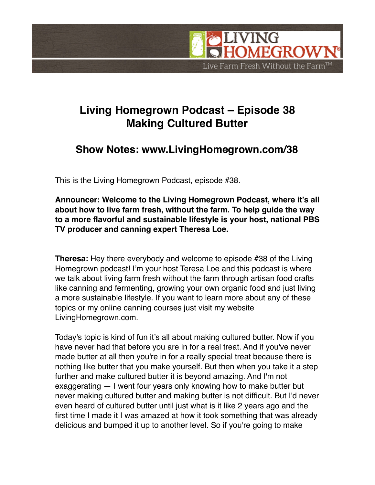

## **Living Homegrown Podcast – Episode 38 Making Cultured Butter**

## **Show Notes: www.LivingHomegrown.com/38**

This is the Living Homegrown Podcast, episode #38.

**Announcer: Welcome to the Living Homegrown Podcast, where it's all about how to live farm fresh, without the farm. To help guide the way to a more flavorful and sustainable lifestyle is your host, national PBS TV producer and canning expert Theresa Loe.**

**Theresa:** Hey there everybody and welcome to episode #38 of the Living Homegrown podcast! I'm your host Teresa Loe and this podcast is where we talk about living farm fresh without the farm through artisan food crafts like canning and fermenting, growing your own organic food and just living a more sustainable lifestyle. If you want to learn more about any of these topics or my online canning courses just visit my website LivingHomegrown.com.

Today's topic is kind of fun it's all about making cultured butter. Now if you have never had that before you are in for a real treat. And if you've never made butter at all then you're in for a really special treat because there is nothing like butter that you make yourself. But then when you take it a step further and make cultured butter it is beyond amazing. And I'm not exaggerating — I went four years only knowing how to make butter but never making cultured butter and making butter is not difficult. But I'd never even heard of cultured butter until just what is it like 2 years ago and the first time I made it I was amazed at how it took something that was already delicious and bumped it up to another level. So if you're going to make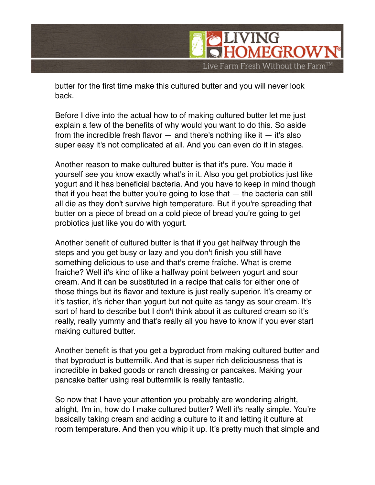

butter for the first time make this cultured butter and you will never look back.

Before I dive into the actual how to of making cultured butter let me just explain a few of the benefits of why would you want to do this. So aside from the incredible fresh flavor  $-$  and there's nothing like it  $-$  it's also super easy it's not complicated at all. And you can even do it in stages.

Another reason to make cultured butter is that it's pure. You made it yourself see you know exactly what's in it. Also you get probiotics just like yogurt and it has beneficial bacteria. And you have to keep in mind though that if you heat the butter you're going to lose that — the bacteria can still all die as they don't survive high temperature. But if you're spreading that butter on a piece of bread on a cold piece of bread you're going to get probiotics just like you do with yogurt.

Another benefit of cultured butter is that if you get halfway through the steps and you get busy or lazy and you don't finish you still have something delicious to use and that's creme fraîche. What is creme fraîche? Well it's kind of like a halfway point between yogurt and sour cream. And it can be substituted in a recipe that calls for either one of those things but its flavor and texture is just really superior. It's creamy or it's tastier, it's richer than yogurt but not quite as tangy as sour cream. It's sort of hard to describe but I don't think about it as cultured cream so it's really, really yummy and that's really all you have to know if you ever start making cultured butter.

Another benefit is that you get a byproduct from making cultured butter and that byproduct is buttermilk. And that is super rich deliciousness that is incredible in baked goods or ranch dressing or pancakes. Making your pancake batter using real buttermilk is really fantastic.

So now that I have your attention you probably are wondering alright, alright, I'm in, how do I make cultured butter? Well it's really simple. You're basically taking cream and adding a culture to it and letting it culture at room temperature. And then you whip it up. It's pretty much that simple and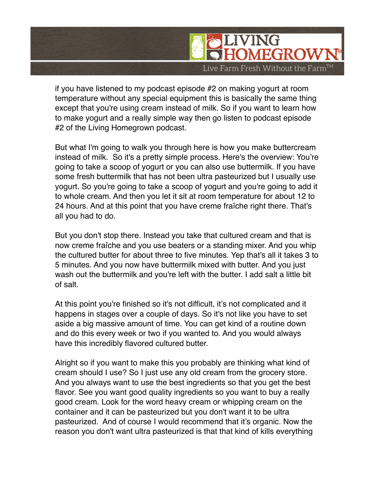

if you have listened to my podcast episode #2 on making yogurt at room temperature without any special equipment this is basically the same thing except that you're using cream instead of milk. So if you want to learn how to make yogurt and a really simple way then go listen to podcast episode #2 of the Living Homegrown podcast.

But what I'm going to walk you through here is how you make buttercream instead of milk. So it's a pretty simple process. Here's the overview: You're going to take a scoop of yogurt or you can also use buttermilk. If you have some fresh buttermilk that has not been ultra pasteurized but I usually use yogurt. So you're going to take a scoop of yogurt and you're going to add it to whole cream. And then you let it sit at room temperature for about 12 to 24 hours. And at this point that you have creme fraîche right there. That's all you had to do.

But you don't stop there. Instead you take that cultured cream and that is now creme fraîche and you use beaters or a standing mixer. And you whip the cultured butter for about three to five minutes. Yep that's all it takes 3 to 5 minutes. And you now have buttermilk mixed with butter. And you just wash out the buttermilk and you're left with the butter. I add salt a little bit of salt.

At this point you're finished so it's not difficult, it's not complicated and it happens in stages over a couple of days. So it's not like you have to set aside a big massive amount of time. You can get kind of a routine down and do this every week or two if you wanted to. And you would always have this incredibly flavored cultured butter.

Alright so if you want to make this you probably are thinking what kind of cream should I use? So I just use any old cream from the grocery store. And you always want to use the best ingredients so that you get the best flavor. See you want good quality ingredients so you want to buy a really good cream. Look for the word heavy cream or whipping cream on the container and it can be pasteurized but you don't want it to be ultra pasteurized. And of course I would recommend that it's organic. Now the reason you don't want ultra pasteurized is that that kind of kills everything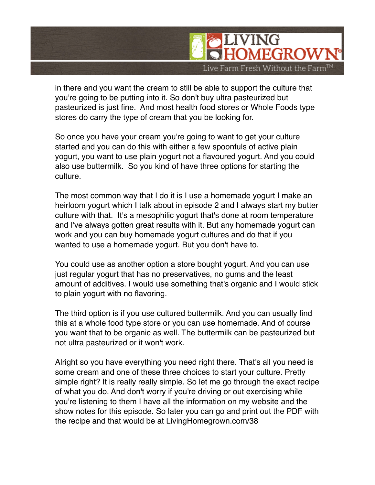

in there and you want the cream to still be able to support the culture that you're going to be putting into it. So don't buy ultra pasteurized but pasteurized is just fine. And most health food stores or Whole Foods type stores do carry the type of cream that you be looking for.

So once you have your cream you're going to want to get your culture started and you can do this with either a few spoonfuls of active plain yogurt, you want to use plain yogurt not a flavoured yogurt. And you could also use buttermilk. So you kind of have three options for starting the culture.

The most common way that I do it is I use a homemade yogurt I make an heirloom yogurt which I talk about in episode 2 and I always start my butter culture with that. It's a mesophilic yogurt that's done at room temperature and I've always gotten great results with it. But any homemade yogurt can work and you can buy homemade yogurt cultures and do that if you wanted to use a homemade yogurt. But you don't have to.

You could use as another option a store bought yogurt. And you can use just regular yogurt that has no preservatives, no gums and the least amount of additives. I would use something that's organic and I would stick to plain yogurt with no flavoring.

The third option is if you use cultured buttermilk. And you can usually find this at a whole food type store or you can use homemade. And of course you want that to be organic as well. The buttermilk can be pasteurized but not ultra pasteurized or it won't work.

Alright so you have everything you need right there. That's all you need is some cream and one of these three choices to start your culture. Pretty simple right? It is really really simple. So let me go through the exact recipe of what you do. And don't worry if you're driving or out exercising while you're listening to them I have all the information on my website and the show notes for this episode. So later you can go and print out the PDF with the recipe and that would be at LivingHomegrown.com/38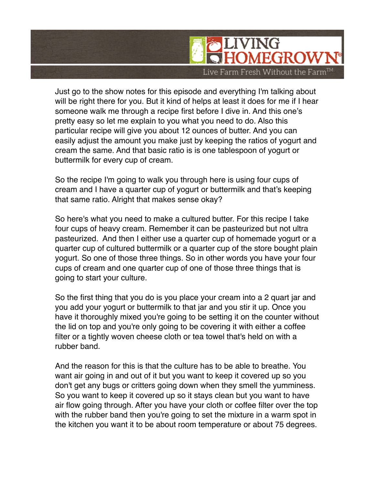

Just go to the show notes for this episode and everything I'm talking about will be right there for you. But it kind of helps at least it does for me if I hear someone walk me through a recipe first before I dive in. And this one's pretty easy so let me explain to you what you need to do. Also this particular recipe will give you about 12 ounces of butter. And you can easily adjust the amount you make just by keeping the ratios of yogurt and cream the same. And that basic ratio is is one tablespoon of yogurt or buttermilk for every cup of cream.

So the recipe I'm going to walk you through here is using four cups of cream and I have a quarter cup of yogurt or buttermilk and that's keeping that same ratio. Alright that makes sense okay?

So here's what you need to make a cultured butter. For this recipe I take four cups of heavy cream. Remember it can be pasteurized but not ultra pasteurized. And then I either use a quarter cup of homemade yogurt or a quarter cup of cultured buttermilk or a quarter cup of the store bought plain yogurt. So one of those three things. So in other words you have your four cups of cream and one quarter cup of one of those three things that is going to start your culture.

So the first thing that you do is you place your cream into a 2 quart jar and you add your yogurt or buttermilk to that jar and you stir it up. Once you have it thoroughly mixed you're going to be setting it on the counter without the lid on top and you're only going to be covering it with either a coffee filter or a tightly woven cheese cloth or tea towel that's held on with a rubber band.

And the reason for this is that the culture has to be able to breathe. You want air going in and out of it but you want to keep it covered up so you don't get any bugs or critters going down when they smell the yumminess. So you want to keep it covered up so it stays clean but you want to have air flow going through. After you have your cloth or coffee filter over the top with the rubber band then you're going to set the mixture in a warm spot in the kitchen you want it to be about room temperature or about 75 degrees.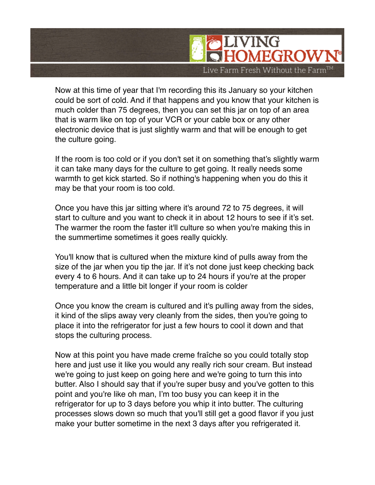

Now at this time of year that I'm recording this its January so your kitchen could be sort of cold. And if that happens and you know that your kitchen is much colder than 75 degrees, then you can set this jar on top of an area that is warm like on top of your VCR or your cable box or any other electronic device that is just slightly warm and that will be enough to get the culture going.

If the room is too cold or if you don't set it on something that's slightly warm it can take many days for the culture to get going. It really needs some warmth to get kick started. So if nothing's happening when you do this it may be that your room is too cold.

Once you have this jar sitting where it's around 72 to 75 degrees, it will start to culture and you want to check it in about 12 hours to see if it's set. The warmer the room the faster it'll culture so when you're making this in the summertime sometimes it goes really quickly.

You'll know that is cultured when the mixture kind of pulls away from the size of the jar when you tip the jar. If it's not done just keep checking back every 4 to 6 hours. And it can take up to 24 hours if you're at the proper temperature and a little bit longer if your room is colder

Once you know the cream is cultured and it's pulling away from the sides, it kind of the slips away very cleanly from the sides, then you're going to place it into the refrigerator for just a few hours to cool it down and that stops the culturing process.

Now at this point you have made creme fraîche so you could totally stop here and just use it like you would any really rich sour cream. But instead we're going to just keep on going here and we're going to turn this into butter. Also I should say that if you're super busy and you've gotten to this point and you're like oh man, I'm too busy you can keep it in the refrigerator for up to 3 days before you whip it into butter. The culturing processes slows down so much that you'll still get a good flavor if you just make your butter sometime in the next 3 days after you refrigerated it.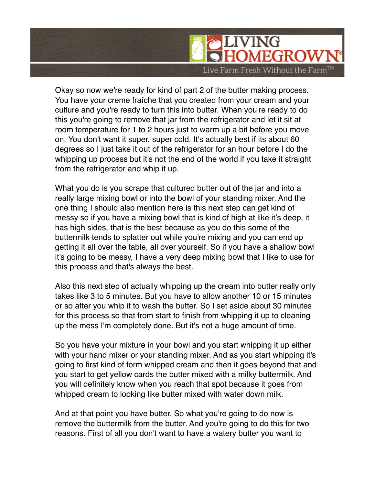

Okay so now we're ready for kind of part 2 of the butter making process. You have your creme fraîche that you created from your cream and your culture and you're ready to turn this into butter. When you're ready to do this you're going to remove that jar from the refrigerator and let it sit at room temperature for 1 to 2 hours just to warm up a bit before you move on. You don't want it super, super cold. It's actually best if its about 60 degrees so I just take it out of the refrigerator for an hour before I do the whipping up process but it's not the end of the world if you take it straight from the refrigerator and whip it up.

What you do is you scrape that cultured butter out of the jar and into a really large mixing bowl or into the bowl of your standing mixer. And the one thing I should also mention here is this next step can get kind of messy so if you have a mixing bowl that is kind of high at like it's deep, it has high sides, that is the best because as you do this some of the buttermilk tends to splatter out while you're mixing and you can end up getting it all over the table, all over yourself. So if you have a shallow bowl it's going to be messy, I have a very deep mixing bowl that I like to use for this process and that's always the best.

Also this next step of actually whipping up the cream into butter really only takes like 3 to 5 minutes. But you have to allow another 10 or 15 minutes or so after you whip it to wash the butter. So I set aside about 30 minutes for this process so that from start to finish from whipping it up to cleaning up the mess I'm completely done. But it's not a huge amount of time.

So you have your mixture in your bowl and you start whipping it up either with your hand mixer or your standing mixer. And as you start whipping it's going to first kind of form whipped cream and then it goes beyond that and you start to get yellow cards the butter mixed with a milky buttermilk. And you will definitely know when you reach that spot because it goes from whipped cream to looking like butter mixed with water down milk.

And at that point you have butter. So what you're going to do now is remove the buttermilk from the butter. And you're going to do this for two reasons. First of all you don't want to have a watery butter you want to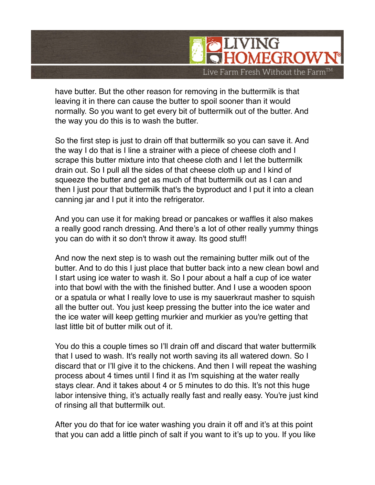

have butter. But the other reason for removing in the buttermilk is that leaving it in there can cause the butter to spoil sooner than it would normally. So you want to get every bit of buttermilk out of the butter. And the way you do this is to wash the butter.

So the first step is just to drain off that buttermilk so you can save it. And the way I do that is I line a strainer with a piece of cheese cloth and I scrape this butter mixture into that cheese cloth and I let the buttermilk drain out. So I pull all the sides of that cheese cloth up and I kind of squeeze the butter and get as much of that buttermilk out as I can and then I just pour that buttermilk that's the byproduct and I put it into a clean canning jar and I put it into the refrigerator.

And you can use it for making bread or pancakes or waffles it also makes a really good ranch dressing. And there's a lot of other really yummy things you can do with it so don't throw it away. Its good stuff!

And now the next step is to wash out the remaining butter milk out of the butter. And to do this I just place that butter back into a new clean bowl and I start using ice water to wash it. So I pour about a half a cup of ice water into that bowl with the with the finished butter. And I use a wooden spoon or a spatula or what I really love to use is my sauerkraut masher to squish all the butter out. You just keep pressing the butter into the ice water and the ice water will keep getting murkier and murkier as you're getting that last little bit of butter milk out of it.

You do this a couple times so I'll drain off and discard that water buttermilk that I used to wash. It's really not worth saving its all watered down. So I discard that or I'll give it to the chickens. And then I will repeat the washing process about 4 times until I find it as I'm squishing at the water really stays clear. And it takes about 4 or 5 minutes to do this. It's not this huge labor intensive thing, it's actually really fast and really easy. You're just kind of rinsing all that buttermilk out.

After you do that for ice water washing you drain it off and it's at this point that you can add a little pinch of salt if you want to it's up to you. If you like